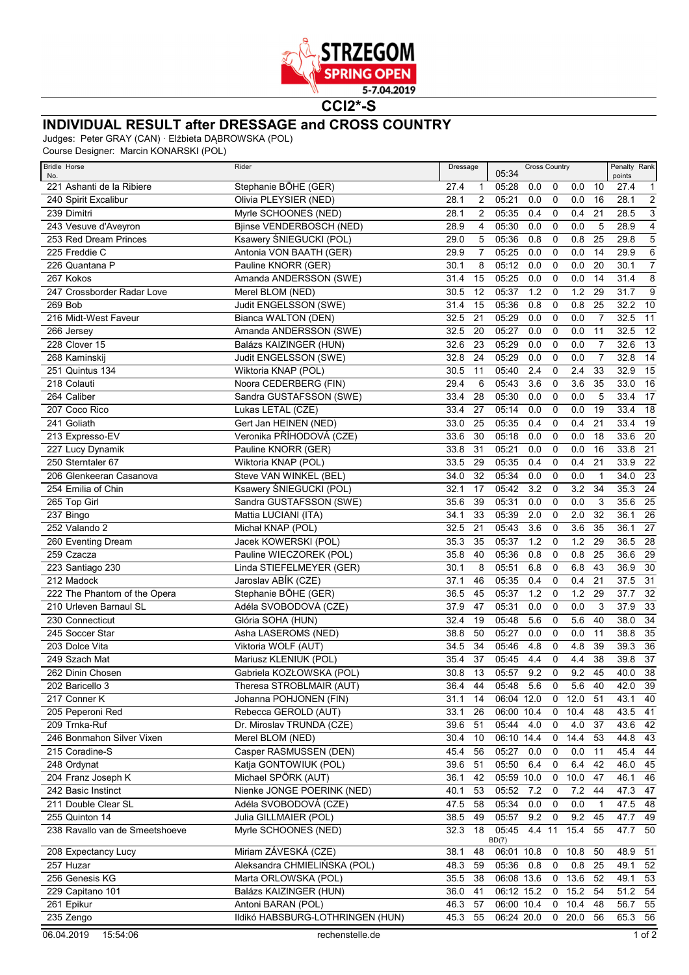

**CCI2\*-S**

## **INDIVIDUAL RESULT after DRESSAGE and CROSS COUNTRY**

Judges: Peter GRAY (CAN) · Elżbieta DĄBROWSKA (POL)

Course Designer: Marcin KONARSKI (POL)

| <b>Bridle Horse</b><br>No.     | Rider                            | Dressage |                | <b>Cross Country</b><br>05:34 |        |             |                  | Penalty Rank<br>points |           |                 |
|--------------------------------|----------------------------------|----------|----------------|-------------------------------|--------|-------------|------------------|------------------------|-----------|-----------------|
| 221 Ashanti de la Ribiere      | Stephanie BÖHE (GER)             | 27.4     | 1              | 05:28                         | 0.0    | 0           | 0.0              | 10                     | 27.4      | $\mathbf{1}$    |
| 240 Spirit Excalibur           | Olivia PLEYSIER (NED)            | 28.1     | 2              | 05:21                         | 0.0    | 0           | 0.0              | 16                     | 28.1      | $\overline{2}$  |
| 239 Dimitri                    | Myrle SCHOONES (NED)             | 28.1     | 2              | 05:35                         | 0.4    | 0           | 0.4              | 21                     | 28.5      | $\overline{3}$  |
| 243 Vesuve d'Aveyron           | Bjinse VENDERBOSCH (NED)         | 28.9     | 4              | 05:30                         | 0.0    | $\mathbf 0$ | 0.0              | 5                      | 28.9      | $\overline{4}$  |
| 253 Red Dream Princes          | Ksawery ŚNIEGUCKI (POL)          | 29.0     | 5              | 05:36                         | 0.8    | 0           | 0.8              | 25                     | 29.8      | $\overline{5}$  |
| 225 Freddie C                  | Antonia VON BAATH (GER)          | 29.9     | $\overline{7}$ | 05:25                         | 0.0    | $\mathbf 0$ | 0.0              | 14                     | 29.9      | $\overline{6}$  |
| 226 Quantana P                 | Pauline KNORR (GER)              | 30.1     | 8              | 05:12                         | 0.0    | $\mathbf 0$ | 0.0              | 20                     | 30.1      | $\overline{7}$  |
| 267 Kokos                      | Amanda ANDERSSON (SWE)           | 31.4     | 15             | 05:25                         | 0.0    | $\mathbf 0$ | 0.0              | 14                     | 31.4      | $\overline{8}$  |
| 247 Crossborder Radar Love     | Merel BLOM (NED)                 | 30.5     | 12             | 05:37                         | 1.2    | $\mathbf 0$ | 1.2              | 29                     | 31.7      | 9               |
| 269 Bob                        | Judit ENGELSSON (SWE)            | 31.4     | 15             | 05:36                         | 0.8    | $\mathbf 0$ | 0.8              | 25                     | 32.2      | 10              |
| 216 Midt-West Faveur           | Bianca WALTON (DEN)              | 32.5     | 21             | 05:29                         | 0.0    | $\mathbf 0$ | 0.0              | $\overline{7}$         | 32.5      | 11              |
| 266 Jersey                     | Amanda ANDERSSON (SWE)           | 32.5     | 20             | 05:27                         | 0.0    | $\mathbf 0$ | 0.0              | 11                     | 32.5      | $\overline{12}$ |
| 228 Clover 15                  | Balázs KAIZINGER (HUN)           | 32.6     | 23             | 05:29                         | 0.0    | 0           | 0.0              | $\overline{7}$         | 32.6      | $\overline{13}$ |
| 268 Kaminskij                  | Judit ENGELSSON (SWE)            | 32.8     | 24             | 05:29                         | 0.0    | $\mathbf 0$ | 0.0              | $\overline{7}$         | 32.8      | $\overline{14}$ |
| 251 Quintus 134                | Wiktoria KNAP (POL)              | 30.5     | 11             | 05:40                         | 2.4    | 0           | 2.4              | 33                     | 32.9      | $\overline{15}$ |
| 218 Colauti                    | Noora CEDERBERG (FIN)            | 29.4     | 6              | 05:43                         | 3.6    | $\mathbf 0$ | $\overline{3.6}$ | 35                     | 33.0      | 16              |
| 264 Caliber                    | Sandra GUSTAFSSON (SWE)          | 33.4     | 28             | 05:30                         | 0.0    | $\mathbf 0$ | 0.0              | 5                      | 33.4      | 17              |
| 207 Coco Rico                  | Lukas LETAL (CZE)                | 33.4     | 27             | 05:14                         | 0.0    | $\mathbf 0$ | 0.0              | 19                     | 33.4      | $\overline{18}$ |
| 241 Goliath                    | Gert Jan HEINEN (NED)            | 33.0     | 25             | 05:35                         | 0.4    | $\mathbf 0$ | 0.4              | 21                     | 33.4      | $\overline{19}$ |
| 213 Expresso-EV                | Veronika PŘÍHODOVÁ (CZE)         | 33.6     | 30             | 05:18                         | 0.0    | 0           | 0.0              | 18                     | 33.6      | $\overline{20}$ |
| 227 Lucy Dynamik               | Pauline KNORR (GER)              | 33.8     | 31             | 05:21                         | 0.0    | 0           | 0.0              | 16                     | 33.8      | $\overline{21}$ |
| 250 Sterntaler 67              | Wiktoria KNAP (POL)              | 33.5     | 29             | 05:35                         | 0.4    | 0           | 0.4              | 21                     | 33.9      | $\overline{22}$ |
| 206 Glenkeeran Casanova        | Steve VAN WINKEL (BEL)           | 34.0     | 32             | 05:34                         | 0.0    | $\mathbf 0$ | 0.0              | $\overline{1}$         | 34.0      | $\overline{23}$ |
| 254 Emilia of Chin             | Ksawery ŚNIEGUCKI (POL)          | 32.1     | 17             | 05:42                         | 3.2    | 0           | 3.2              | 34                     | 35.3      | $\overline{24}$ |
| 265 Top Girl                   | Sandra GUSTAFSSON (SWE)          | 35.6     | 39             | 05:31                         | 0.0    | $\mathbf 0$ | 0.0              | 3                      | 35.6      | 25              |
| 237 Bingo                      | Mattia LUCIANI (ITA)             | 34.1     | 33             | 05:39                         | 2.0    | 0           | 2.0              | 32                     | 36.1      | $\overline{26}$ |
| 252 Valando 2                  | Michał KNAP (POL)                | 32.5     | 21             | 05:43                         | 3.6    | 0           | 3.6              | 35                     | 36.1      | $\overline{27}$ |
| 260 Eventing Dream             | Jacek KOWERSKI (POL)             | 35.3     | 35             | 05:37                         | 1.2    | $\mathbf 0$ | 1.2              | 29                     | 36.5      | $\overline{28}$ |
| 259 Czacza                     | Pauline WIECZOREK (POL)          | 35.8     | 40             | 05:36                         | 0.8    | 0           | 0.8              | 25                     | 36.6      | 29              |
| 223 Santiago 230               | Linda STIEFELMEYER (GER)         | 30.1     | 8              | 05:51                         | 6.8    | 0           | 6.8              | 43                     | 36.9      | $\overline{30}$ |
| 212 Madock                     | Jaroslav ABIK (CZE)              | 37.1     | 46             | 05:35                         | 0.4    | 0           | 0.4              | 21                     | 37.5      | $\overline{31}$ |
| 222 The Phantom of the Opera   | Stephanie BÖHE (GER)             | 36.5     | 45             | 05:37                         | 1.2    | $\mathbf 0$ | 1.2              | 29                     | 37.7      | $\overline{32}$ |
| 210 Urleven Barnaul SL         | Adéla SVOBODOVÁ (CZE)            | 37.9     | 47             | 05:31                         | 0.0    | $\mathbf 0$ | 0.0              | 3                      | 37.9      | $\overline{33}$ |
| 230 Connecticut                | Glória SOHA (HUN)                | 32.4     | 19             | 05:48                         | 5.6    | 0           | 5.6              | 40                     | 38.0      | $\overline{34}$ |
| 245 Soccer Star                | Asha LASEROMS (NED)              | 38.8     | 50             | 05:27                         | 0.0    | 0           | 0.0              | 11                     | 38.8      | 35              |
| 203 Dolce Vita                 | Viktoria WOLF (AUT)              | 34.5     | 34             | 05:46                         | 4.8    | 0           | 4.8              | 39                     | 39.3      | $\overline{36}$ |
| 249 Szach Mat                  | Mariusz KLENIUK (POL)            | 35.4     | 37             | 05:45                         | 4.4    | 0           | 4.4              | 38                     | 39.8      | $\overline{37}$ |
| 262 Dinin Chosen               | Gabriela KOZŁOWSKA (POL)         | 30.8     | 13             | 05:57                         | 9.2    | $\mathbf 0$ | 9.2              | 45                     | 40.0      | 38              |
| 202 Baricello 3                | Theresa STROBLMAIR (AUT)         | 36.4     | 44             | 05:48 5.6                     |        | 0           | $5.6$ 40         |                        | 42.0      | $\overline{39}$ |
| 217 Conner K                   | Johanna POHJONEN (FIN)           | 31.1     | 14             | 06:04 12.0                    |        | 0           | 12.0             | 51                     | 43.1      | 40              |
| 205 Peperoni Red               | Rebecca GEROLD (AUT)             | 33.1     | 26             | 06:00 10.4                    |        | $\mathbf 0$ | 10.4             | 48                     | 43.5 41   |                 |
| 209 Trnka-Ruf                  | Dr. Miroslav TRUNDA (CZE)        | 39.6     | 51             | 05:44                         | 4.0    | $\pmb{0}$   | 4.0              | 37                     | 43.6      | 42              |
| 246 Bonmahon Silver Vixen      | Merel BLOM (NED)                 | 30.4     | 10             | 06:10 14.4                    |        | $\pmb{0}$   | 14.4             | 53                     | 44.8      | $-43$           |
| 215 Coradine-S                 | Casper RASMUSSEN (DEN)           | 45.4     | 56             | 05:27                         | 0.0    | $\mathbf 0$ | 0.0              | 11                     | $45.4$ 44 |                 |
| 248 Ordynat                    | Katja GONTOWIUK (POL)            | 39.6     | 51             | 05:50                         | 6.4    | 0           | 6.4              | 42                     | $46.0$ 45 |                 |
| 204 Franz Joseph K             | Michael SPÖRK (AUT)              | 36.1     | 42             | 05:59 10.0                    |        | 0           | 10.0             | 47                     | 46.1      | 46              |
| 242 Basic Instinct             | Nienke JONGE POERINK (NED)       | 40.1     | 53             | 05:52                         | 7.2    | 0           | 7.2              | 44                     | 47.3 47   |                 |
| 211 Double Clear SL            | Adéla SVOBODOVÁ (CZE)            | 47.5     | 58             | 05:34                         | 0.0    | 0           | 0.0              | 1                      | 47.5 48   |                 |
| 255 Quinton 14                 | Julia GILLMAIER (POL)            | 38.5     | 49             | 05:57                         | 9.2    | $\mathbf 0$ | 9.2              | 45                     | $47.7$ 49 |                 |
| 238 Ravallo van de Smeetshoeve | Myrle SCHOONES (NED)             | 32.3     | 18             | 05:45<br>BD(7)                | 4.4 11 |             | 15.4             | 55                     | 47.7      | 50              |
| 208 Expectancy Lucy            | Miriam ZÁVESKÁ (CZE)             | 38.1     | 48             | 06:01 10.8                    |        | 0           | 10.8             | 50                     | 48.9      | 51              |
| 257 Huzar                      | Aleksandra CHMIELIŃSKA (POL)     | 48.3     | 59             | 05:36                         | 0.8    | 0           | 0.8              | 25                     | 49.1      | 52              |
| 256 Genesis KG                 | Marta ORLOWSKA (POL)             | 35.5     | 38             | 06:08 13.6                    |        | 0           | 13.6             | 52                     | 49.1      | 53              |
| 229 Capitano 101               | Balázs KAIZINGER (HUN)           | 36.0     | 41             | 06:12 15.2                    |        | 0           | 15.2             | 54                     | 51.2 54   |                 |
| $\overline{26}1$ Epikur        | Antoni BARAN (POL)               | 46.3     | 57             | 06:00 10.4                    |        | 0           | 10.4             | 48                     | 56.7 55   |                 |
| 235 Zengo                      | Ildikó HABSBURG-LOTHRINGEN (HUN) | 45.3     | 55             | 06:24 20.0                    |        |             | $0\ 20.0$        | 56                     | 65.3 56   |                 |
| 06.04.2019<br>15:54:06         | rechenstelle.de                  |          |                |                               |        |             |                  |                        |           | $1$ of $2$      |